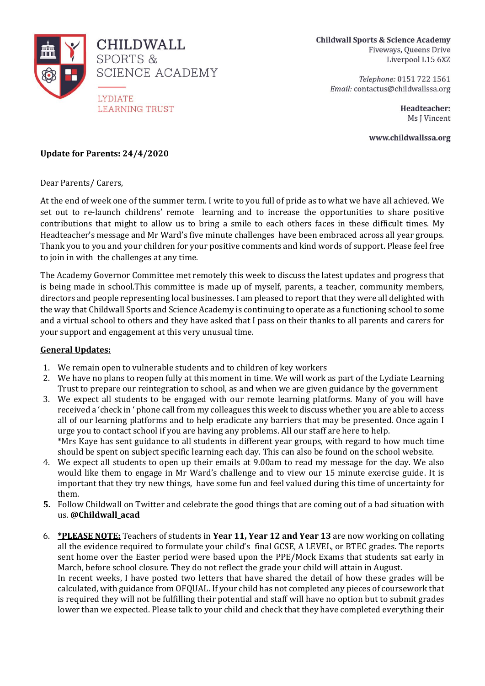

**Childwall Sports & Science Academy** Fiveways, Queens Drive Liverpool L15 6XZ

> Telephone: 0151 722 1561 Email: contactus@childwallssa.org

> > Headteacher: Ms J Vincent

www.childwallssa.org

# **Update for Parents: 24/4/2020**

Dear Parents/ Carers,

At the end of week one of the summer term. I write to you full of pride as to what we have all achieved. We set out to re-launch childrens' remote learning and to increase the opportunities to share positive contributions that might to allow us to bring a smile to each others faces in these difficult times. My Headteacher's message and Mr Ward's five minute challenges have been embraced across all year groups. Thank you to you and your children for your positive comments and kind words of support. Please feel free to join in with the challenges at any time.

The Academy Governor Committee met remotely this week to discuss the latest updates and progress that is being made in school.This committee is made up of myself, parents, a teacher, community members, directors and people representing local businesses. I am pleased to report that they were all delighted with the way that Childwall Sports and Science Academy is continuing to operate as a functioning school to some and a virtual school to others and they have asked that I pass on their thanks to all parents and carers for your support and engagement at this very unusual time.

## **General Updates:**

- 1. We remain open to vulnerable students and to children of key workers
- 2. We have no plans to reopen fully at this moment in time. We will work as part of the Lydiate Learning Trust to prepare our reintegration to school, as and when we are given guidance by the government
- 3. We expect all students to be engaged with our remote learning platforms. Many of you will have received a 'check in ' phone call from my colleagues this week to discuss whether you are able to access all of our learning platforms and to help eradicate any barriers that may be presented. Once again I urge you to contact school if you are having any problems. All our staff are here to help. \*Mrs Kaye has sent guidance to all students in different year groups, with regard to how much time should be spent on subject specific learning each day. This can also be found on the school website.
- 4. We expect all students to open up their emails at 9.00am to read my message for the day. We also would like them to engage in Mr Ward's challenge and to view our 15 minute exercise guide. It is important that they try new things, have some fun and feel valued during this time of uncertainty for them.
- **5.** Follow Childwall on Twitter and celebrate the good things that are coming out of a bad situation with us. **@Childwall\_acad**
- 6. **\*PLEASE NOTE:** Teachers of students in **Year 11, Year 12 and Year 13** are now working on collating all the evidence required to formulate your child's final GCSE, A LEVEL, or BTEC grades. The reports sent home over the Easter period were based upon the PPE/Mock Exams that students sat early in March, before school closure. They do not reflect the grade your child will attain in August. In recent weeks, I have posted two letters that have shared the detail of how these grades will be calculated, with guidance from OFQUAL. If your child has not completed any pieces of coursework that

is required they will not be fulfilling their potential and staff will have no option but to submit grades lower than we expected. Please talk to your child and check that they have completed everything their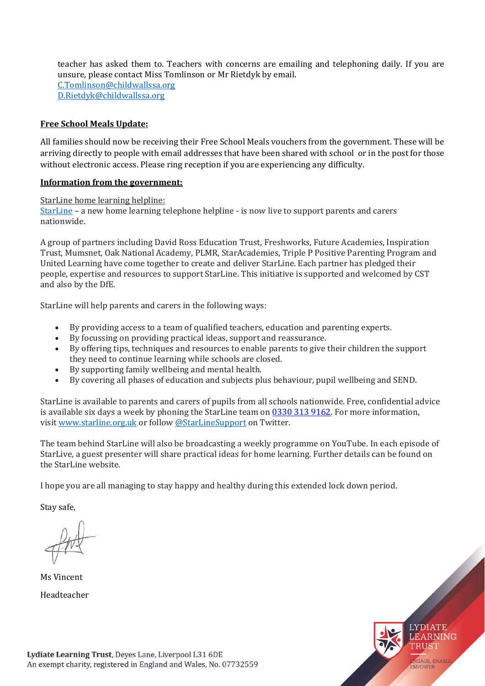teacher has asked them to. Teachers with concerns are emailing and telephoning daily. If you are unsure, please contact Miss Tomlinson or Mr Rietdyk by email. [C.Tomlinson@childwallssa.org](mailto:C.Tomlinson@childwallssa.org) [D.Rietdyk@childwallssa.org](mailto:D.Rietdyk@childwallssa.org)

## **Free School Meals Update:**

All families should now be receiving their Free School Meals vouchers from the government. These will be arriving directly to people with email addresses that have been shared with school or in the post for those without electronic access. Please ring reception if you are experiencing any difficulty.

## **Information from the government:**

#### StarLine home learning helpline:

[StarLine](https://www.starline.org.uk/) – a new home learning telephone helpline - is now live to support parents and carers nationwide.

A group of partners including David Ross Education Trust, Freshworks, Future Academies, Inspiration Trust, Mumsnet, Oak National Academy, PLMR, StarAcademies, Triple P Positive Parenting Program and United Learning have come together to create and deliver StarLine. Each partner has pledged their people, expertise and resources to support StarLine. This initiative is supported and welcomed by CST and also by the DfE.

StarLine will help parents and carers in the following ways:

- By providing access to a team of qualified teachers, education and parenting experts.
- By focussing on providing practical ideas, support and reassurance.
- By offering tips, techniques and resources to enable parents to give their children the support they need to continue learning while schools are closed.
- By supporting family wellbeing and mental health.
- By covering all phases of education and subjects plus behaviour, pupil wellbeing and SEND.

StarLine is available to parents and carers of pupils from all schools nationwide. Free, confidential advice is available six days a week by phoning the StarLine team on  $\overline{0330}$  313 [9162.](tel:0330%20313%209162) For more information, visit [www.starline.org.uk](http://www.starline.org.uk/) or follow [@StarLineSupport](https://twitter.com/StarLineSupport) on Twitter.

The team behind StarLine will also be broadcasting a weekly programme on YouTube. In each episode of StarLive, a guest presenter will share practical ideas for home learning. Further details can be found on the StarLine website.

I hope you are all managing to stay happy and healthy during this extended lock down period.

Stay safe,

Ms Vincent Headteacher